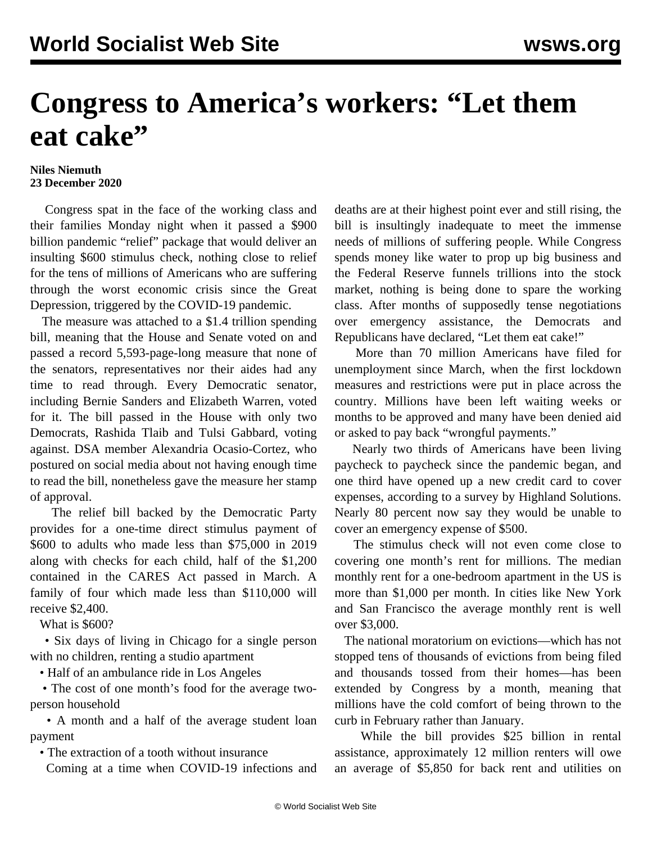## **Congress to America's workers: "Let them eat cake"**

## **Niles Niemuth 23 December 2020**

 Congress spat in the face of the working class and their families Monday night when it passed a \$900 billion pandemic "relief" package that would deliver an insulting \$600 stimulus check, nothing close to relief for the tens of millions of Americans who are suffering through the worst economic crisis since the Great Depression, triggered by the COVID-19 pandemic.

 The measure was attached to a \$1.4 trillion spending bill, meaning that the House and Senate voted on and passed a record 5,593-page-long measure that none of the senators, representatives nor their aides had any time to read through. Every Democratic senator, including Bernie Sanders and Elizabeth Warren, voted for it. The bill passed in the House with only two Democrats, Rashida Tlaib and Tulsi Gabbard, voting against. DSA member Alexandria Ocasio-Cortez, who postured on social media about not having enough time to read the bill, nonetheless gave the measure her stamp of approval.

 The relief bill backed by the Democratic Party provides for a one-time direct stimulus payment of \$600 to adults who made less than \$75,000 in 2019 along with checks for each child, half of the \$1,200 contained in the CARES Act passed in March. A family of four which made less than \$110,000 will receive \$2,400.

What is \$600?

 • Six days of living in Chicago for a single person with no children, renting a studio apartment

• Half of an ambulance ride in Los Angeles

 • The cost of one month's food for the average twoperson household

 • A month and a half of the average student loan payment

• The extraction of a tooth without insurance

Coming at a time when COVID-19 infections and

deaths are at their highest point ever and still rising, the bill is insultingly inadequate to meet the immense needs of millions of suffering people. While Congress spends money like water to prop up big business and the Federal Reserve funnels trillions into the stock market, nothing is being done to spare the working class. After months of supposedly tense negotiations over emergency assistance, the Democrats and Republicans have declared, "Let them eat cake!"

 More than 70 million Americans have filed for unemployment since March, when the first lockdown measures and restrictions were put in place across the country. Millions have been left waiting weeks or months to be approved and many have been denied aid or asked to pay back "wrongful payments."

 Nearly two thirds of Americans have been living paycheck to paycheck since the pandemic began, and one third have opened up a new credit card to cover expenses, according to a [survey](https://highlandsolutions.com/blog/survey-reveals-spending-habits-during-covid-19) by Highland Solutions. Nearly 80 percent now say they would be unable to cover an emergency expense of \$500.

 The stimulus check will not even come close to covering one month's rent for millions. The median monthly rent for a one-bedroom apartment in the US is more than \$1,000 per month. In cities like New York and San Francisco the average monthly rent is well over \$3,000.

 The national moratorium on evictions—which has not stopped tens of thousands of evictions from being filed and thousands tossed from their homes—has been extended by Congress by a month, meaning that millions have the cold comfort of being thrown to the curb in February rather than January.

 While the bill provides \$25 billion in rental assistance, approximately 12 million renters will owe an average of \$5,850 for back rent and utilities on